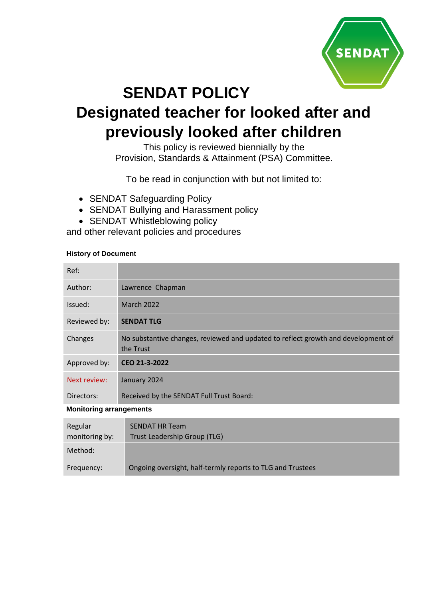

# **SENDAT POLICY Designated teacher for looked after and previously looked after children**

This policy is reviewed biennially by the Provision, Standards & Attainment (PSA) Committee.

To be read in conjunction with but not limited to:

- SENDAT Safeguarding Policy
- SENDAT Bullying and Harassment policy
- SENDAT Whistleblowing policy

and other relevant policies and procedures

## **History of Document**

| Ref:                           |                                                                                                |
|--------------------------------|------------------------------------------------------------------------------------------------|
| Author:                        | Lawrence Chapman                                                                               |
| Issued:                        | <b>March 2022</b>                                                                              |
| Reviewed by:                   | <b>SENDAT TLG</b>                                                                              |
| Changes                        | No substantive changes, reviewed and updated to reflect growth and development of<br>the Trust |
| Approved by:                   | CEO 21-3-2022                                                                                  |
| Next review:                   | January 2024                                                                                   |
| Directors:                     | Received by the SENDAT Full Trust Board:                                                       |
| <b>Monitoring arrangements</b> |                                                                                                |
| Regular<br>monitoring by:      | <b>SENDAT HR Team</b><br>Trust Leadership Group (TLG)                                          |
| Method:                        |                                                                                                |
| Frequency:                     | Ongoing oversight, half-termly reports to TLG and Trustees                                     |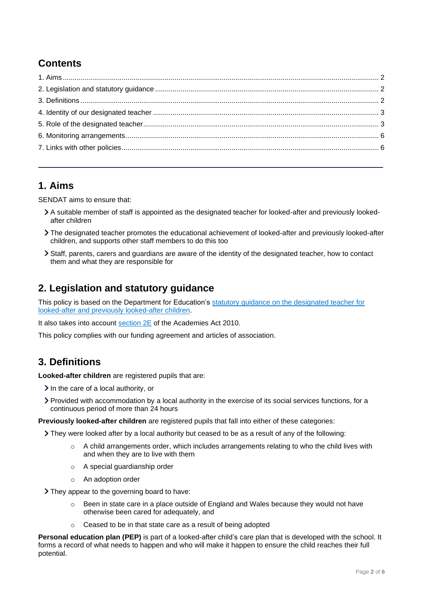# **Contents**

# <span id="page-1-0"></span>**1. Aims**

SENDAT aims to ensure that:

- A suitable member of staff is appointed as the designated teacher for looked-after and previously lookedafter children
- The designated teacher promotes the educational achievement of looked-after and previously looked-after children, and supports other staff members to do this too
- Staff, parents, carers and guardians are aware of the identity of the designated teacher, how to contact them and what they are responsible for

# <span id="page-1-1"></span>**2. Legislation and statutory guidance**

This policy is based on the Department for Education's [statutory guidance on the designated teacher for](https://www.gov.uk/government/publications/designated-teacher-for-looked-after-children)  [looked-after and previously looked-after children.](https://www.gov.uk/government/publications/designated-teacher-for-looked-after-children)

It also takes into account [section 2E](http://www.legislation.gov.uk/ukpga/2010/32/section/2E) of the Academies Act 2010.

This policy complies with our funding agreement and articles of association.

## <span id="page-1-2"></span>**3. Definitions**

**Looked-after children** are registered pupils that are:

- $\sum$  In the care of a local authority, or
- Provided with accommodation by a local authority in the exercise of its social services functions, for a continuous period of more than 24 hours

**Previously looked-after children** are registered pupils that fall into either of these categories:

They were looked after by a local authority but ceased to be as a result of any of the following:

- o A child arrangements order, which includes arrangements relating to who the child lives with and when they are to live with them
- o A special guardianship order
- o An adoption order

They appear to the governing board to have:

- $\circ$  Been in state care in a place outside of England and Wales because they would not have otherwise been cared for adequately, and
- o Ceased to be in that state care as a result of being adopted

**Personal education plan (PEP)** is part of a looked-after child's care plan that is developed with the school. It forms a record of what needs to happen and who will make it happen to ensure the child reaches their full potential.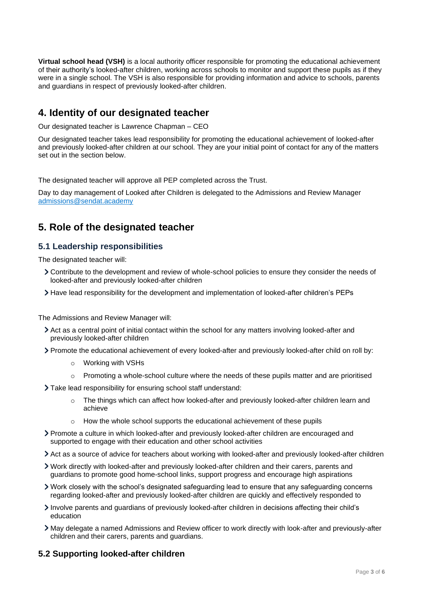**Virtual school head (VSH)** is a local authority officer responsible for promoting the educational achievement of their authority's looked-after children, working across schools to monitor and support these pupils as if they were in a single school. The VSH is also responsible for providing information and advice to schools, parents and guardians in respect of previously looked-after children.

## <span id="page-2-0"></span>**4. Identity of our designated teacher**

Our designated teacher is Lawrence Chapman – CEO

Our designated teacher takes lead responsibility for promoting the educational achievement of looked-after and previously looked-after children at our school. They are your initial point of contact for any of the matters set out in the section below.

The designated teacher will approve all PEP completed across the Trust.

Day to day management of Looked after Children is delegated to the Admissions and Review Manager [admissions@sendat.academy](mailto:admissions@sendat.academy)

## <span id="page-2-1"></span>**5. Role of the designated teacher**

## **5.1 Leadership responsibilities**

The designated teacher will:

- Contribute to the development and review of whole-school policies to ensure they consider the needs of looked-after and previously looked-after children
- Have lead responsibility for the development and implementation of looked-after children's PEPs

The Admissions and Review Manager will:

- Act as a central point of initial contact within the school for any matters involving looked-after and previously looked-after children
- Promote the educational achievement of every looked-after and previously looked-after child on roll by:
	- o Working with VSHs
	- $\circ$  Promoting a whole-school culture where the needs of these pupils matter and are prioritised
- Take lead responsibility for ensuring school staff understand:
	- $\circ$  The things which can affect how looked-after and previously looked-after children learn and achieve
	- $\circ$  How the whole school supports the educational achievement of these pupils
- Promote a culture in which looked-after and previously looked-after children are encouraged and supported to engage with their education and other school activities
- Act as a source of advice for teachers about working with looked-after and previously looked-after children
- Work directly with looked-after and previously looked-after children and their carers, parents and guardians to promote good home-school links, support progress and encourage high aspirations
- Work closely with the school's designated safeguarding lead to ensure that any safeguarding concerns regarding looked-after and previously looked-after children are quickly and effectively responded to
- Involve parents and guardians of previously looked-after children in decisions affecting their child's education
- May delegate a named Admissions and Review officer to work directly with look-after and previously-after children and their carers, parents and guardians.

## **5.2 Supporting looked-after children**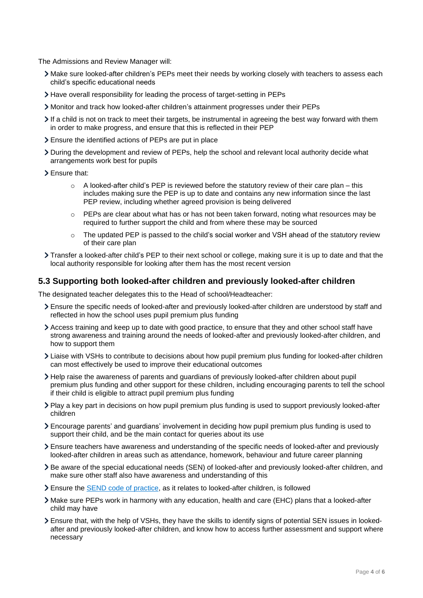The Admissions and Review Manager will:

- Make sure looked-after children's PEPs meet their needs by working closely with teachers to assess each child's specific educational needs
- Have overall responsibility for leading the process of target-setting in PEPs
- Monitor and track how looked-after children's attainment progresses under their PEPs
- If a child is not on track to meet their targets, be instrumental in agreeing the best way forward with them in order to make progress, and ensure that this is reflected in their PEP
- Ensure the identified actions of PEPs are put in place
- During the development and review of PEPs, help the school and relevant local authority decide what arrangements work best for pupils
- Ensure that:
	- $\circ$  A looked-after child's PEP is reviewed before the statutory review of their care plan this includes making sure the PEP is up to date and contains any new information since the last PEP review, including whether agreed provision is being delivered
	- $\circ$  PEPs are clear about what has or has not been taken forward, noting what resources may be required to further support the child and from where these may be sourced
	- $\circ$  The updated PEP is passed to the child's social worker and VSH ahead of the statutory review of their care plan
- Transfer a looked-after child's PEP to their next school or college, making sure it is up to date and that the local authority responsible for looking after them has the most recent version

#### **5.3 Supporting both looked-after children and previously looked-after children**

The designated teacher delegates this to the Head of school/Headteacher:

- Ensure the specific needs of looked-after and previously looked-after children are understood by staff and reflected in how the school uses pupil premium plus funding
- Access training and keep up to date with good practice, to ensure that they and other school staff have strong awareness and training around the needs of looked-after and previously looked-after children, and how to support them
- Liaise with VSHs to contribute to decisions about how pupil premium plus funding for looked-after children can most effectively be used to improve their educational outcomes
- Help raise the awareness of parents and guardians of previously looked-after children about pupil premium plus funding and other support for these children, including encouraging parents to tell the school if their child is eligible to attract pupil premium plus funding
- Play a key part in decisions on how pupil premium plus funding is used to support previously looked-after children
- Encourage parents' and guardians' involvement in deciding how pupil premium plus funding is used to support their child, and be the main contact for queries about its use
- Ensure teachers have awareness and understanding of the specific needs of looked-after and previously looked-after children in areas such as attendance, homework, behaviour and future career planning
- Be aware of the special educational needs (SEN) of looked-after and previously looked-after children, and make sure other staff also have awareness and understanding of this
- Ensure the [SEND code of practice,](https://www.gov.uk/government/publications/send-code-of-practice-0-to-25) as it relates to looked-after children, is followed
- Make sure PEPs work in harmony with any education, health and care (EHC) plans that a looked-after child may have
- Ensure that, with the help of VSHs, they have the skills to identify signs of potential SEN issues in lookedafter and previously looked-after children, and know how to access further assessment and support where necessary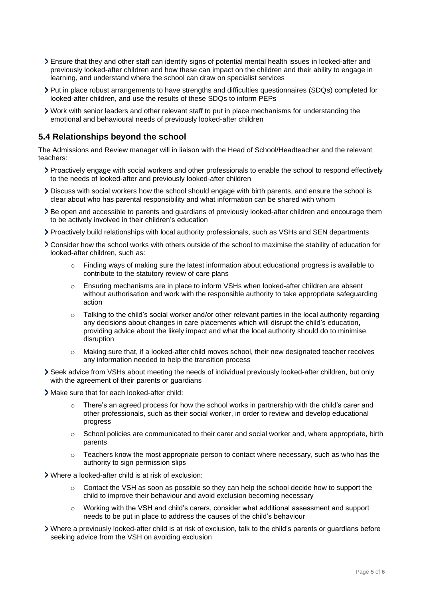- Ensure that they and other staff can identify signs of potential mental health issues in looked-after and previously looked-after children and how these can impact on the children and their ability to engage in learning, and understand where the school can draw on specialist services
- Put in place robust arrangements to have strengths and difficulties questionnaires (SDQs) completed for looked-after children, and use the results of these SDQs to inform PEPs
- Work with senior leaders and other relevant staff to put in place mechanisms for understanding the emotional and behavioural needs of previously looked-after children

## **5.4 Relationships beyond the school**

The Admissions and Review manager will in liaison with the Head of School/Headteacher and the relevant teachers:

- Proactively engage with social workers and other professionals to enable the school to respond effectively to the needs of looked-after and previously looked-after children
- Discuss with social workers how the school should engage with birth parents, and ensure the school is clear about who has parental responsibility and what information can be shared with whom
- Be open and accessible to parents and guardians of previously looked-after children and encourage them to be actively involved in their children's education
- Proactively build relationships with local authority professionals, such as VSHs and SEN departments
- Consider how the school works with others outside of the school to maximise the stability of education for looked-after children, such as:
	- $\circ$  Finding ways of making sure the latest information about educational progress is available to contribute to the statutory review of care plans
	- o Ensuring mechanisms are in place to inform VSHs when looked-after children are absent without authorisation and work with the responsible authority to take appropriate safeguarding action
	- $\circ$  Talking to the child's social worker and/or other relevant parties in the local authority regarding any decisions about changes in care placements which will disrupt the child's education, providing advice about the likely impact and what the local authority should do to minimise disruption
	- o Making sure that, if a looked-after child moves school, their new designated teacher receives any information needed to help the transition process
- Seek advice from VSHs about meeting the needs of individual previously looked-after children, but only with the agreement of their parents or guardians
- Make sure that for each looked-after child:
	- $\circ$  There's an agreed process for how the school works in partnership with the child's carer and other professionals, such as their social worker, in order to review and develop educational progress
	- $\circ$  School policies are communicated to their carer and social worker and, where appropriate, birth parents
	- $\circ$  Teachers know the most appropriate person to contact where necessary, such as who has the authority to sign permission slips
- Where a looked-after child is at risk of exclusion:
	- $\circ$  Contact the VSH as soon as possible so they can help the school decide how to support the child to improve their behaviour and avoid exclusion becoming necessary
	- o Working with the VSH and child's carers, consider what additional assessment and support needs to be put in place to address the causes of the child's behaviour
- Where a previously looked-after child is at risk of exclusion, talk to the child's parents or guardians before seeking advice from the VSH on avoiding exclusion